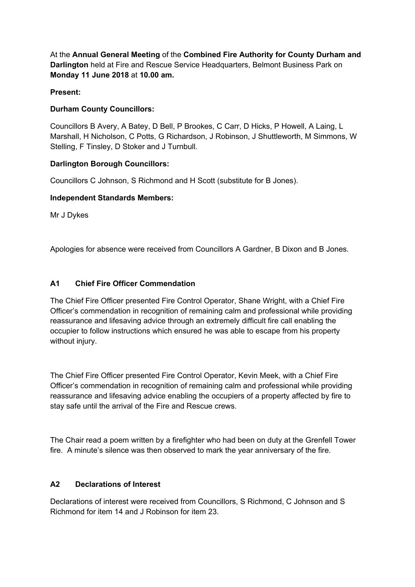At the **Annual General Meeting** of the **Combined Fire Authority for County Durham and Darlington** held at Fire and Rescue Service Headquarters, Belmont Business Park on **Monday 11 June 2018** at **10.00 am.**

## **Present:**

# **Durham County Councillors:**

Councillors B Avery, A Batey, D Bell, P Brookes, C Carr, D Hicks, P Howell, A Laing, L Marshall, H Nicholson, C Potts, G Richardson, J Robinson, J Shuttleworth, M Simmons, W Stelling, F Tinsley, D Stoker and J Turnbull.

### **Darlington Borough Councillors:**

Councillors C Johnson, S Richmond and H Scott (substitute for B Jones).

### **Independent Standards Members:**

Mr J Dykes

Apologies for absence were received from Councillors A Gardner, B Dixon and B Jones.

# **A1 Chief Fire Officer Commendation**

The Chief Fire Officer presented Fire Control Operator, Shane Wright, with a Chief Fire Officer's commendation in recognition of remaining calm and professional while providing reassurance and lifesaving advice through an extremely difficult fire call enabling the occupier to follow instructions which ensured he was able to escape from his property without injury.

The Chief Fire Officer presented Fire Control Operator, Kevin Meek, with a Chief Fire Officer's commendation in recognition of remaining calm and professional while providing reassurance and lifesaving advice enabling the occupiers of a property affected by fire to stay safe until the arrival of the Fire and Rescue crews.

The Chair read a poem written by a firefighter who had been on duty at the Grenfell Tower fire. A minute's silence was then observed to mark the year anniversary of the fire.

### **A2 Declarations of Interest**

Declarations of interest were received from Councillors, S Richmond, C Johnson and S Richmond for item 14 and J Robinson for item 23.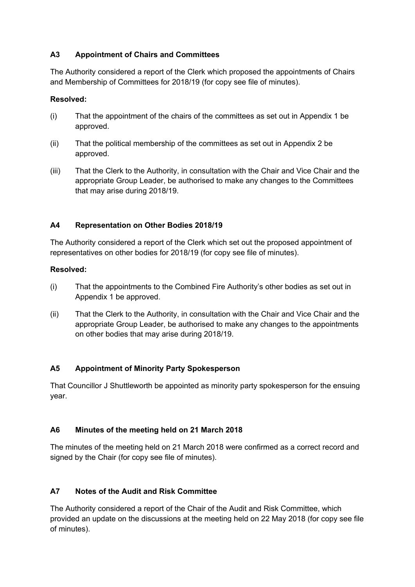# **A3 Appointment of Chairs and Committees**

The Authority considered a report of the Clerk which proposed the appointments of Chairs and Membership of Committees for 2018/19 (for copy see file of minutes).

## **Resolved:**

- (i) That the appointment of the chairs of the committees as set out in Appendix 1 be approved.
- (ii) That the political membership of the committees as set out in Appendix 2 be approved.
- (iii) That the Clerk to the Authority, in consultation with the Chair and Vice Chair and the appropriate Group Leader, be authorised to make any changes to the Committees that may arise during 2018/19.

# **A4 Representation on Other Bodies 2018/19**

The Authority considered a report of the Clerk which set out the proposed appointment of representatives on other bodies for 2018/19 (for copy see file of minutes).

### **Resolved:**

- (i) That the appointments to the Combined Fire Authority's other bodies as set out in Appendix 1 be approved.
- (ii) That the Clerk to the Authority, in consultation with the Chair and Vice Chair and the appropriate Group Leader, be authorised to make any changes to the appointments on other bodies that may arise during 2018/19.

# **A5 Appointment of Minority Party Spokesperson**

That Councillor J Shuttleworth be appointed as minority party spokesperson for the ensuing year.

# **A6 Minutes of the meeting held on 21 March 2018**

The minutes of the meeting held on 21 March 2018 were confirmed as a correct record and signed by the Chair (for copy see file of minutes).

# **A7 Notes of the Audit and Risk Committee**

The Authority considered a report of the Chair of the Audit and Risk Committee, which provided an update on the discussions at the meeting held on 22 May 2018 (for copy see file of minutes).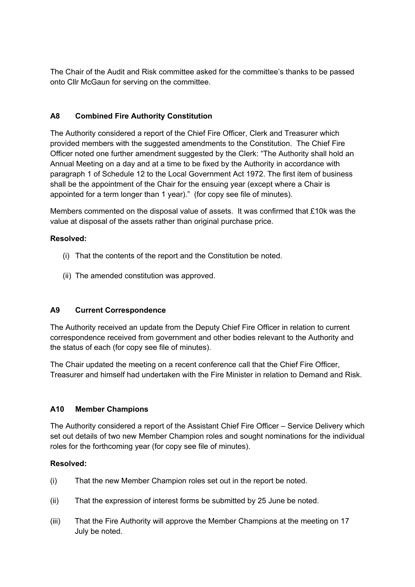The Chair of the Audit and Risk committee asked for the committee's thanks to be passed onto Cllr McGaun for serving on the committee.

## **A8 Combined Fire Authority Constitution**

The Authority considered a report of the Chief Fire Officer, Clerk and Treasurer which provided members with the suggested amendments to the Constitution. The Chief Fire Officer noted one further amendment suggested by the Clerk: "The Authority shall hold an Annual Meeting on a day and at a time to be fixed by the Authority in accordance with paragraph 1 of Schedule 12 to the Local Government Act 1972. The first item of business shall be the appointment of the Chair for the ensuing year (except where a Chair is appointed for a term longer than 1 year)." (for copy see file of minutes).

Members commented on the disposal value of assets. It was confirmed that £10k was the value at disposal of the assets rather than original purchase price.

### **Resolved:**

- (i) That the contents of the report and the Constitution be noted.
- (ii) The amended constitution was approved.

# **A9 Current Correspondence**

The Authority received an update from the Deputy Chief Fire Officer in relation to current correspondence received from government and other bodies relevant to the Authority and the status of each (for copy see file of minutes).

The Chair updated the meeting on a recent conference call that the Chief Fire Officer, Treasurer and himself had undertaken with the Fire Minister in relation to Demand and Risk.

### **A10 Member Champions**

The Authority considered a report of the Assistant Chief Fire Officer – Service Delivery which set out details of two new Member Champion roles and sought nominations for the individual roles for the forthcoming year (for copy see file of minutes).

### **Resolved:**

- (i) That the new Member Champion roles set out in the report be noted.
- (ii) That the expression of interest forms be submitted by 25 June be noted.
- (iii) That the Fire Authority will approve the Member Champions at the meeting on 17 July be noted.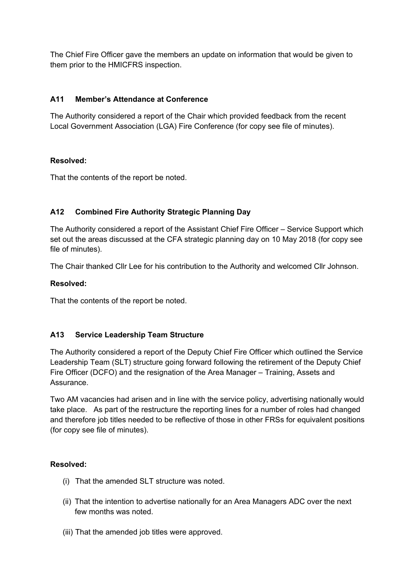The Chief Fire Officer gave the members an update on information that would be given to them prior to the HMICFRS inspection.

## **A11 Member's Attendance at Conference**

The Authority considered a report of the Chair which provided feedback from the recent Local Government Association (LGA) Fire Conference (for copy see file of minutes).

### **Resolved:**

That the contents of the report be noted.

# **A12 Combined Fire Authority Strategic Planning Day**

The Authority considered a report of the Assistant Chief Fire Officer – Service Support which set out the areas discussed at the CFA strategic planning day on 10 May 2018 (for copy see file of minutes).

The Chair thanked Cllr Lee for his contribution to the Authority and welcomed Cllr Johnson.

### **Resolved:**

That the contents of the report be noted.

# **A13 Service Leadership Team Structure**

The Authority considered a report of the Deputy Chief Fire Officer which outlined the Service Leadership Team (SLT) structure going forward following the retirement of the Deputy Chief Fire Officer (DCFO) and the resignation of the Area Manager – Training, Assets and Assurance.

Two AM vacancies had arisen and in line with the service policy, advertising nationally would take place. As part of the restructure the reporting lines for a number of roles had changed and therefore job titles needed to be reflective of those in other FRSs for equivalent positions (for copy see file of minutes).

# **Resolved:**

- (i) That the amended SLT structure was noted.
- (ii) That the intention to advertise nationally for an Area Managers ADC over the next few months was noted.
- (iii) That the amended job titles were approved.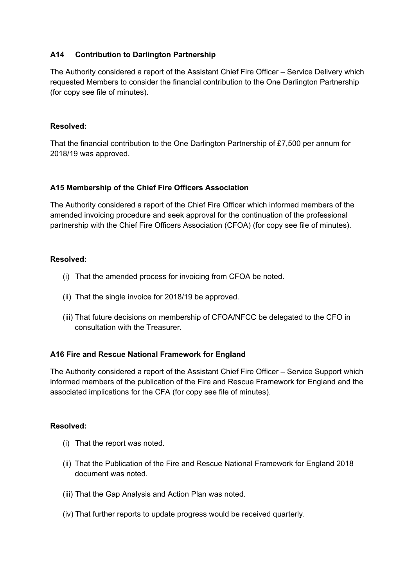### **A14 Contribution to Darlington Partnership**

The Authority considered a report of the Assistant Chief Fire Officer – Service Delivery which requested Members to consider the financial contribution to the One Darlington Partnership (for copy see file of minutes).

#### **Resolved:**

That the financial contribution to the One Darlington Partnership of £7,500 per annum for 2018/19 was approved.

### **A15 Membership of the Chief Fire Officers Association**

The Authority considered a report of the Chief Fire Officer which informed members of the amended invoicing procedure and seek approval for the continuation of the professional partnership with the Chief Fire Officers Association (CFOA) (for copy see file of minutes).

### **Resolved:**

- (i) That the amended process for invoicing from CFOA be noted.
- (ii) That the single invoice for 2018/19 be approved.
- (iii) That future decisions on membership of CFOA/NFCC be delegated to the CFO in consultation with the Treasurer.

### **A16 Fire and Rescue National Framework for England**

The Authority considered a report of the Assistant Chief Fire Officer – Service Support which informed members of the publication of the Fire and Rescue Framework for England and the associated implications for the CFA (for copy see file of minutes).

### **Resolved:**

- (i) That the report was noted.
- (ii) That the Publication of the Fire and Rescue National Framework for England 2018 document was noted.
- (iii) That the Gap Analysis and Action Plan was noted.
- (iv) That further reports to update progress would be received quarterly.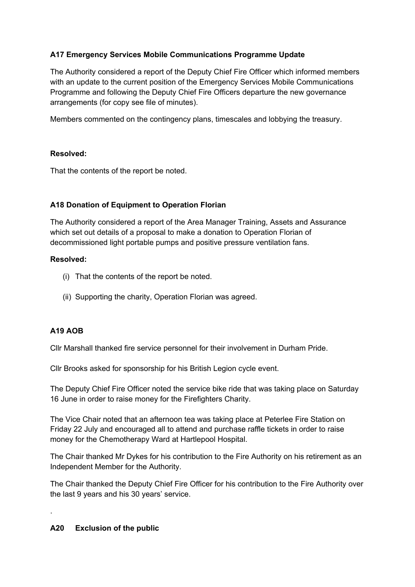# **A17 Emergency Services Mobile Communications Programme Update**

The Authority considered a report of the Deputy Chief Fire Officer which informed members with an update to the current position of the Emergency Services Mobile Communications Programme and following the Deputy Chief Fire Officers departure the new governance arrangements (for copy see file of minutes).

Members commented on the contingency plans, timescales and lobbying the treasury.

### **Resolved:**

That the contents of the report be noted.

# **A18 Donation of Equipment to Operation Florian**

The Authority considered a report of the Area Manager Training, Assets and Assurance which set out details of a proposal to make a donation to Operation Florian of decommissioned light portable pumps and positive pressure ventilation fans.

### **Resolved:**

- (i) That the contents of the report be noted.
- (ii) Supporting the charity, Operation Florian was agreed.

# **A19 AOB**

.

Cllr Marshall thanked fire service personnel for their involvement in Durham Pride.

Cllr Brooks asked for sponsorship for his British Legion cycle event.

The Deputy Chief Fire Officer noted the service bike ride that was taking place on Saturday 16 June in order to raise money for the Firefighters Charity.

The Vice Chair noted that an afternoon tea was taking place at Peterlee Fire Station on Friday 22 July and encouraged all to attend and purchase raffle tickets in order to raise money for the Chemotherapy Ward at Hartlepool Hospital.

The Chair thanked Mr Dykes for his contribution to the Fire Authority on his retirement as an Independent Member for the Authority.

The Chair thanked the Deputy Chief Fire Officer for his contribution to the Fire Authority over the last 9 years and his 30 years' service.

### **A20 Exclusion of the public**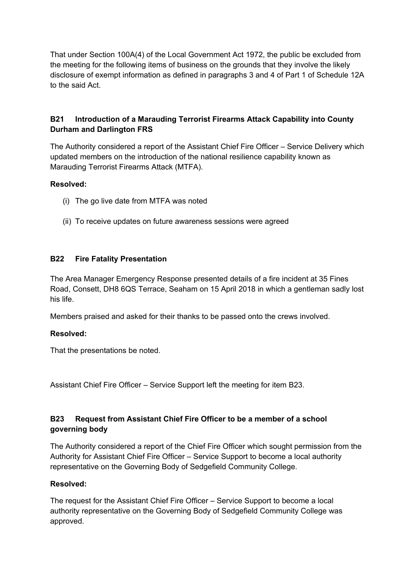That under Section 100A(4) of the Local Government Act 1972, the public be excluded from the meeting for the following items of business on the grounds that they involve the likely disclosure of exempt information as defined in paragraphs 3 and 4 of Part 1 of Schedule 12A to the said Act.

# **B21 Introduction of a Marauding Terrorist Firearms Attack Capability into County Durham and Darlington FRS**

The Authority considered a report of the Assistant Chief Fire Officer – Service Delivery which updated members on the introduction of the national resilience capability known as Marauding Terrorist Firearms Attack (MTFA).

### **Resolved:**

- (i) The go live date from MTFA was noted
- (ii) To receive updates on future awareness sessions were agreed

### **B22 Fire Fatality Presentation**

The Area Manager Emergency Response presented details of a fire incident at 35 Fines Road, Consett, DH8 6QS Terrace, Seaham on 15 April 2018 in which a gentleman sadly lost his life.

Members praised and asked for their thanks to be passed onto the crews involved.

### **Resolved:**

That the presentations be noted.

Assistant Chief Fire Officer – Service Support left the meeting for item B23.

# **B23 Request from Assistant Chief Fire Officer to be a member of a school governing body**

The Authority considered a report of the Chief Fire Officer which sought permission from the Authority for Assistant Chief Fire Officer – Service Support to become a local authority representative on the Governing Body of Sedgefield Community College.

### **Resolved:**

The request for the Assistant Chief Fire Officer – Service Support to become a local authority representative on the Governing Body of Sedgefield Community College was approved.